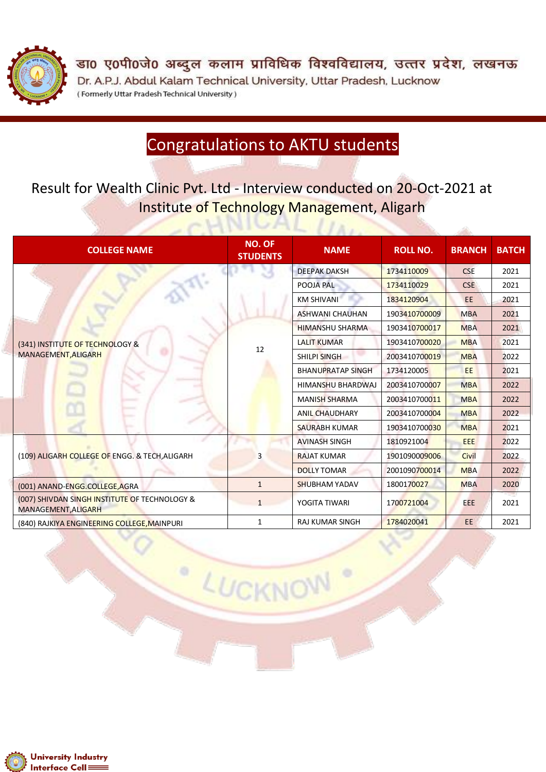

डा0 ए0पी0जे0 अब्दुल कलाम प्राविधिक विश्वविद्यालय, उत्तर प्रदेश, लखनऊ Dr. A.P.J. Abdul Kalam Technical University, Uttar Pradesh, Lucknow (Formerly Uttar Pradesh Technical University)

### Congratulations to AKTU students

#### Result for Wealth Clinic Pvt. Ltd - Interview conducted on 20-Oct-2021 at Institute of Technology Management, Aligarh

| <b>COLLEGE NAME</b>                                                  | <b>NO. OF</b><br><b>STUDENTS</b> | <b>NAME</b>              | <b>ROLL NO.</b> | <b>BRANCH</b> | <b>BATCH</b> |
|----------------------------------------------------------------------|----------------------------------|--------------------------|-----------------|---------------|--------------|
|                                                                      |                                  | <b>DEEPAK DAKSH</b>      | 1734110009      | <b>CSE</b>    | 2021         |
|                                                                      |                                  | POOJA PAL                | 1734110029      | <b>CSE</b>    | 2021         |
|                                                                      |                                  | <b>KM SHIVANI</b>        | 1834120904      | <b>EE</b>     | 2021         |
|                                                                      |                                  | <b>ASHWANI CHAUHAN</b>   | 1903410700009   | <b>MBA</b>    | 2021         |
|                                                                      |                                  | <b>HIMANSHU SHARMA</b>   | 1903410700017   | <b>MBA</b>    | 2021         |
| (341) INSTITUTE OF TECHNOLOGY &                                      | 12                               | <b>LALIT KUMAR</b>       | 1903410700020   | <b>MBA</b>    | 2021         |
| MANAGEMENT, ALIGARH                                                  |                                  | <b>SHILPI SINGH</b>      | 2003410700019   | <b>MBA</b>    | 2022         |
|                                                                      |                                  | <b>BHANUPRATAP SINGH</b> | 1734120005      | EE.           | 2021         |
|                                                                      |                                  | <b>HIMANSHU BHARDWAJ</b> | 2003410700007   | <b>MBA</b>    | 2022         |
|                                                                      |                                  | <b>MANISH SHARMA</b>     | 2003410700011   | <b>MBA</b>    | 2022         |
|                                                                      |                                  | <b>ANIL CHAUDHARY</b>    | 2003410700004   | <b>MBA</b>    | 2022         |
|                                                                      |                                  | <b>SAURABH KUMAR</b>     | 1903410700030   | <b>MBA</b>    | 2021         |
|                                                                      | 3                                | <b>AVINASH SINGH</b>     | 1810921004      | <b>EEE</b>    | 2022         |
| (109) ALIGARH COLLEGE OF ENGG. & TECH, ALIGARH                       |                                  | <b>RAJAT KUMAR</b>       | 1901090009006   | Civil         | 2022         |
|                                                                      |                                  | <b>DOLLY TOMAR</b>       | 2001090700014   | <b>MBA</b>    | 2022         |
| (001) ANAND-ENGG.COLLEGE, AGRA                                       | $\mathbf{1}$                     | <b>SHUBHAM YADAV</b>     | 1800170027      | <b>MBA</b>    | 2020         |
| (007) SHIVDAN SINGH INSTITUTE OF TECHNOLOGY &<br>MANAGEMENT, ALIGARH | $\mathbf{1}$                     | YOGITA TIWARI            | 1700721004      | <b>EEE</b>    | 2021         |
| (840) RAJKIYA ENGINEERING COLLEGE, MAINPURI                          | $\mathbf{1}$                     | <b>RAJ KUMAR SINGH</b>   | 1784020041      | EE.           | 2021         |

LUCKNOW

۰

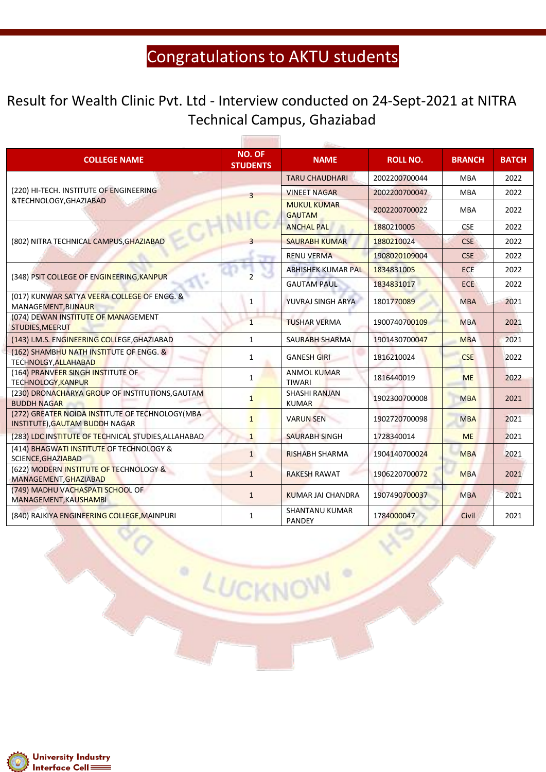#### Result for Wealth Clinic Pvt. Ltd - Interview conducted on 24-Sept-2021 at NITRA Technical Campus, Ghaziabad

56

| <b>COLLEGE NAME</b>                                                                       | <b>NO. OF</b><br><b>STUDENTS</b> | <b>NAME</b>                            | <b>ROLL NO.</b> | <b>BRANCH</b> | <b>BATCH</b> |
|-------------------------------------------------------------------------------------------|----------------------------------|----------------------------------------|-----------------|---------------|--------------|
| (220) HI-TECH. INSTITUTE OF ENGINEERING<br>&TECHNOLOGY, GHAZIABAD                         | $\overline{3}$                   | <b>TARU CHAUDHARI</b>                  | 2002200700044   | <b>MBA</b>    | 2022         |
|                                                                                           |                                  | <b>VINEET NAGAR</b>                    | 2002200700047   | <b>MBA</b>    | 2022         |
|                                                                                           |                                  | <b>MUKUL KUMAR</b><br><b>GAUTAM</b>    | 2002200700022   | <b>MBA</b>    | 2022         |
|                                                                                           |                                  | <b>ANCHAL PAL</b>                      | 1880210005      | <b>CSE</b>    | 2022         |
| (802) NITRA TECHNICAL CAMPUS, GHAZIABAD                                                   |                                  | <b>SAURABH KUMAR</b>                   | 1880210024      | <b>CSE</b>    | 2022         |
|                                                                                           |                                  | <b>RENU VERMA</b>                      | 1908020109004   | <b>CSE</b>    | 2022         |
|                                                                                           |                                  | <b>ABHISHEK KUMAR PAL</b>              | 1834831005      | ECE           | 2022         |
| (348) PSIT COLLEGE OF ENGINEERING, KANPUR                                                 |                                  | <b>GAUTAM PAUL</b>                     | 1834831017      | <b>ECE</b>    | 2022         |
| (017) KUNWAR SATYA VEERA COLLEGE OF ENGG. &<br>MANAGEMENT, BIJNAUR                        | $\mathbf{1}$                     | YUVRAJ SINGH ARYA                      | 1801770089      | <b>MBA</b>    | 2021         |
| (074) DEWAN INSTITUTE OF MANAGEMENT<br>STUDIES, MEERUT                                    | $\mathbf{1}$                     | <b>TUSHAR VERMA</b>                    | 1900740700109   | <b>MBA</b>    | 2021         |
| (143) I.M.S. ENGINEERING COLLEGE, GHAZIABAD                                               | $\mathbf{1}$                     | <b>SAURABH SHARMA</b>                  | 1901430700047   | <b>MBA</b>    | 2021         |
| (162) SHAMBHU NATH INSTITUTE OF ENGG. &<br>TECHNOLGY, ALLAHABAD                           | $\mathbf{1}$                     | <b>GANESH GIRI</b>                     | 1816210024      | <b>CSE</b>    | 2022         |
| (164) PRANVEER SINGH INSTITUTE OF<br><b>TECHNOLOGY, KANPUR</b>                            | 1                                | <b>ANMOL KUMAR</b><br><b>TIWARI</b>    | 1816440019      | <b>ME</b>     | 2022         |
| (230) DRONACHARYA GROUP OF INSTITUTIONS, GAUTAM<br><b>BUDDH NAGAR</b>                     | $\mathbf{1}$                     | <b>SHASHI RANJAN</b><br><b>KUMAR</b>   | 1902300700008   | <b>MBA</b>    | 2021         |
| (272) GREATER NOIDA INSTITUTE OF TECHNOLOGY (MBA<br><b>INSTITUTE), GAUTAM BUDDH NAGAR</b> | $\mathbf{1}$                     | <b>VARUN SEN</b>                       | 1902720700098   | <b>MBA</b>    | 2021         |
| (283) LDC INSTITUTE OF TECHNICAL STUDIES, ALLAHABAD                                       | $\overline{1}$                   | <b>SAURABH SINGH</b>                   | 1728340014      | <b>ME</b>     | 2021         |
| (414) BHAGWATI INSTITUTE OF TECHNOLOGY &<br>SCIENCE, GHAZIABAD                            | $\mathbf{1}$                     | <b>RISHABH SHARMA</b>                  | 1904140700024   | <b>MBA</b>    | 2021         |
| (622) MODERN INSTITUTE OF TECHNOLOGY &<br>MANAGEMENT, GHAZIABAD                           | $\mathbf{1}$                     | <b>RAKESH RAWAT</b>                    | 1906220700072   | <b>MBA</b>    | 2021         |
| (749) MADHU VACHASPATI SCHOOL OF<br>MANAGEMENT, KAUSHAMBI                                 | $\mathbf{1}$                     | KUMAR JAI CHANDRA                      | 1907490700037   | <b>MBA</b>    | 2021         |
| (840) RAJKIYA ENGINEERING COLLEGE, MAINPURI                                               | 1                                | <b>SHANTANU KUMAR</b><br><b>PANDEY</b> | 1784000047      | Civil         | 2021         |

LUCKNOW

 $\circ$ 

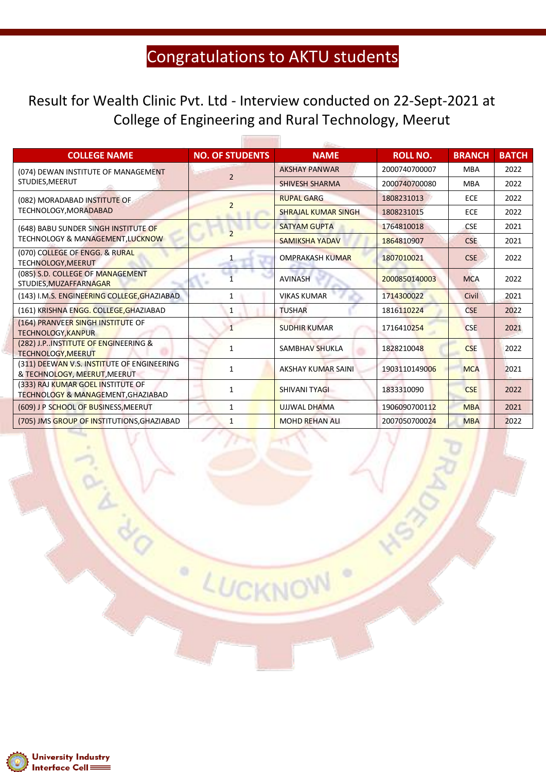fΩ

#### Result for Wealth Clinic Pvt. Ltd - Interview conducted on 22-Sept-2021 at College of Engineering and Rural Technology, Meerut

59

| <b>COLLEGE NAME</b>                                                                | <b>NO. OF STUDENTS</b> | <b>NAME</b>                | <b>ROLL NO.</b> | <b>BRANCH</b> | <b>BATCH</b> |
|------------------------------------------------------------------------------------|------------------------|----------------------------|-----------------|---------------|--------------|
| (074) DEWAN INSTITUTE OF MANAGEMENT                                                | $\overline{2}$         | <b>AKSHAY PANWAR</b>       | 2000740700007   | <b>MBA</b>    | 2022         |
| STUDIES, MEERUT                                                                    |                        | <b>SHIVESH SHARMA</b>      | 2000740700080   | <b>MBA</b>    | 2022         |
| (082) MORADABAD INSTITUTE OF                                                       | $\overline{2}$         | <b>RUPAL GARG</b>          | 1808231013      | <b>ECE</b>    | 2022         |
| TECHNOLOGY, MORADABAD                                                              |                        | <b>SHRAJAL KUMAR SINGH</b> | 1808231015      | <b>ECE</b>    | 2022         |
| (648) BABU SUNDER SINGH INSTITUTE OF                                               |                        | <b>SATYAM GUPTA</b>        | 1764810018      | <b>CSE</b>    | 2021         |
| TECHNOLOGY & MANAGEMENT, LUCKNOW                                                   |                        | <b>SAMIKSHA YADAV</b>      | 1864810907      | <b>CSE</b>    | 2021         |
| (070) COLLEGE OF ENGG. & RURAL<br>TECHNOLOGY, MEERUT                               |                        | <b>OMPRAKASH KUMAR</b>     | 1807010021      | <b>CSE</b>    | 2022         |
| (085) S.D. COLLEGE OF MANAGEMENT<br>STUDIES, MUZAFFARNAGAR                         |                        | <b>AVINASH</b>             | 2000850140003   | <b>MCA</b>    | 2022         |
| (143) I.M.S. ENGINEERING COLLEGE, GHAZIABAD                                        | 1                      | <b>VIKAS KUMAR</b>         | 1714300022      | Civil         | 2021         |
| (161) KRISHNA ENGG. COLLEGE, GHAZIABAD                                             | 1                      | <b>TUSHAR</b>              | 1816110224      | <b>CSE</b>    | 2022         |
| (164) PRANVEER SINGH INSTITUTE OF<br><b>TECHNOLOGY, KANPUR</b>                     | 1                      | <b>SUDHIR KUMAR</b>        | 1716410254      | <b>CSE</b>    | 2021         |
| (282) J.P. INSTITUTE OF ENGINEERING &<br><b>TECHNOLOGY, MEERUT</b>                 | 1                      | <b>SAMBHAV SHUKLA</b>      | 1828210048      | <b>CSE</b>    | 2022         |
| (311) DEEWAN V.S. INSTITUTE OF ENGINEERING<br>& TECHNOLOGY, MEERUT, MEERUT         | $\mathbf{1}$           | AKSHAY KUMAR SAINI         | 1903110149006   | <b>MCA</b>    | 2021         |
| (333) RAJ KUMAR GOEL INSTITUTE OF<br><b>TECHNOLOGY &amp; MANAGEMENT, GHAZIABAD</b> | 1                      | SHIVANI TYAGI              | 1833310090      | <b>CSE</b>    | 2022         |
| (609) J P SCHOOL OF BUSINESS, MEERUT                                               | $\mathbf{1}$           | <b>UJJWAL DHAMA</b>        | 1906090700112   | <b>MBA</b>    | 2021         |
| (705) JMS GROUP OF INSTITUTIONS, GHAZIABAD                                         | $\mathbf{1}$           | <b>MOHD REHAN ALI</b>      | 2007050700024   | <b>MBA</b>    | 2022         |

LUCKNO

۰

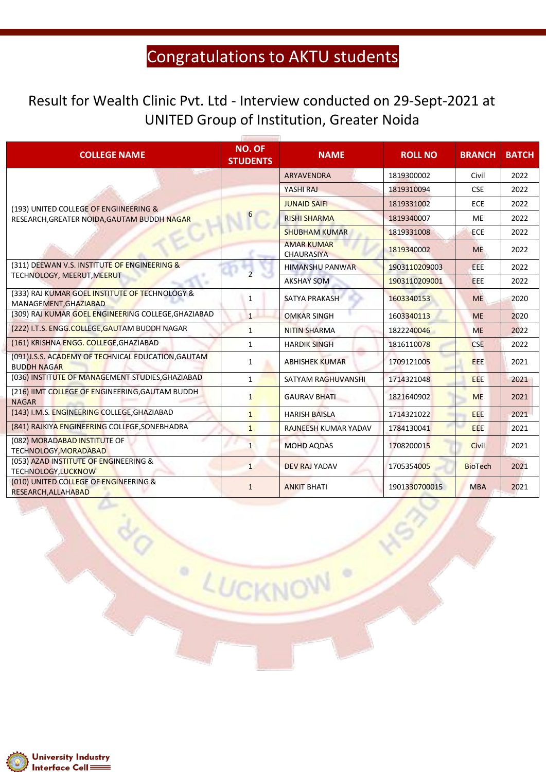#### Result for Wealth Clinic Pvt. Ltd - Interview conducted on 29-Sept-2021 at UNITED Group of Institution, Greater Noida

| <b>COLLEGE NAME</b>                                                      | <b>NO. OF</b><br><b>STUDENTS</b> | <b>NAME</b>                            | <b>ROLL NO</b> | <b>BRANCH</b>  | <b>BATCH</b> |
|--------------------------------------------------------------------------|----------------------------------|----------------------------------------|----------------|----------------|--------------|
|                                                                          |                                  | <b>ARYAVENDRA</b>                      | 1819300002     | Civil          | 2022         |
|                                                                          |                                  | YASHI RAJ                              | 1819310094     | <b>CSE</b>     | 2022         |
| (193) UNITED COLLEGE OF ENGIINEERING &                                   |                                  | <b>JUNAID SAIFI</b>                    | 1819331002     | <b>ECE</b>     | 2022         |
| RESEARCH, GREATER NOIDA, GAUTAM BUDDH NAGAR                              | 6                                | <b>RISHI SHARMA</b>                    | 1819340007     | <b>ME</b>      | 2022         |
|                                                                          |                                  | <b>SHUBHAM KUMAR</b>                   | 1819331008     | <b>ECE</b>     | 2022         |
|                                                                          |                                  | <b>AMAR KUMAR</b><br><b>CHAURASIYA</b> | 1819340002     | <b>ME</b>      | 2022         |
| (311) DEEWAN V.S. INSTITUTE OF ENGINEERING &                             | $\overline{2}$                   | <b>HIMANSHU PANWAR</b>                 | 1903110209003  | <b>EEE</b>     | 2022         |
| TECHNOLOGY, MEERUT, MEERUT                                               |                                  | <b>AKSHAY SOM</b>                      | 1903110209001  | <b>EEE</b>     | 2022         |
| (333) RAJ KUMAR GOEL INSTITUTE OF TECHNOLOGY &<br>MANAGEMENT, GHAZIABAD  | $\mathbf{1}$                     | <b>SATYA PRAKASH</b>                   | 1603340153     | <b>ME</b>      | 2020         |
| (309) RAJ KUMAR GOEL ENGINEERING COLLEGE, GHAZIABAD                      | $\mathbf{1}$                     | <b>OMKAR SINGH</b>                     | 1603340113     | <b>ME</b>      | 2020         |
| (222) I.T.S. ENGG.COLLEGE, GAUTAM BUDDH NAGAR                            | $\mathbf{1}$                     | <b>NITIN SHARMA</b>                    | 1822240046     | <b>ME</b>      | 2022         |
| (161) KRISHNA ENGG. COLLEGE, GHAZIABAD                                   | $\mathbf{1}$                     | <b>HARDIK SINGH</b>                    | 1816110078     | <b>CSE</b>     | 2022         |
| (091)J.S.S. ACADEMY OF TECHNICAL EDUCATION, GAUTAM<br><b>BUDDH NAGAR</b> | $\mathbf{1}$                     | <b>ABHISHEK KUMAR</b>                  | 1709121005     | <b>EEE</b>     | 2021         |
| (036) INSTITUTE OF MANAGEMENT STUDIES, GHAZIABAD                         | $\mathbf{1}$                     | SATYAM RAGHUVANSHI                     | 1714321048     | <b>EEE</b>     | 2021         |
| (216) IIMT COLLEGE OF ENGINEERING, GAUTAM BUDDH<br><b>NAGAR</b>          | $\mathbf{1}$                     | <b>GAURAV BHATI</b>                    | 1821640902     | <b>ME</b>      | 2021         |
| (143) I.M.S. ENGINEERING COLLEGE, GHAZIABAD                              | $\mathbf{1}$                     | <b>HARISH BAISLA</b>                   | 1714321022     | <b>EEE</b>     | 2021         |
| (841) RAJKIYA ENGINEERING COLLEGE, SONEBHADRA                            | $\mathbf{1}$                     | RAJNEESH KUMAR YADAV                   | 1784130041     | <b>EEE</b>     | 2021         |
| (082) MORADABAD INSTITUTE OF<br>TECHNOLOGY, MORADABAD                    | $\mathbf{1}$                     | <b>MOHD AQDAS</b>                      | 1708200015     | <b>Civil</b>   | 2021         |
| (053) AZAD INSTITUTE OF ENGINEERING &<br>TECHNOLOGY, LUCKNOW             | $\mathbf{1}$                     | <b>DEV RAJ YADAV</b>                   | 1705354005     | <b>BioTech</b> | 2021         |
| (010) UNITED COLLEGE OF ENGINEERING &<br>RESEARCH, ALLAHABAD             | $\mathbf{1}$                     | <b>ANKIT BHATI</b>                     | 1901330700015  | <b>MBA</b>     | 2021         |

LUCKNOW

 $\circ$ 

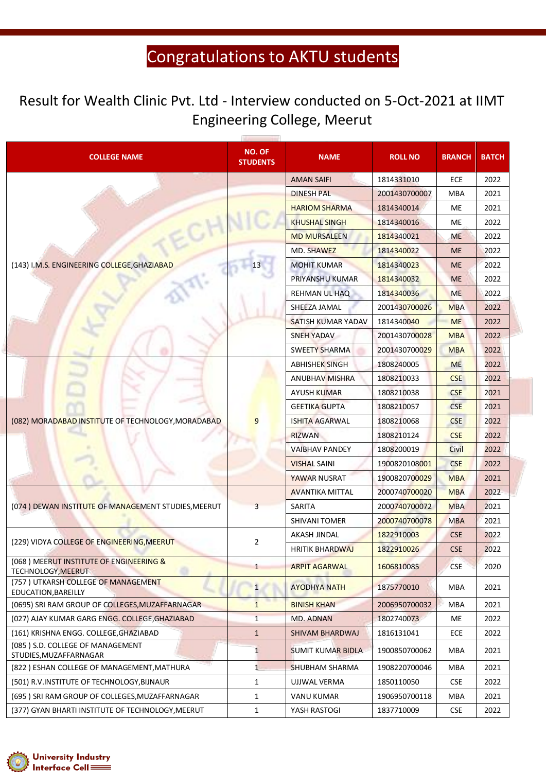#### Result for Wealth Clinic Pvt. Ltd - Interview conducted on 5-Oct-2021 at IIMT Engineering College, Meerut

| <b>COLLEGE NAME</b>                                           | <b>NO. OF</b><br><b>STUDENTS</b> | <b>NAME</b>              | <b>ROLL NO</b> | <b>BRANCH</b> | <b>BATCH</b> |
|---------------------------------------------------------------|----------------------------------|--------------------------|----------------|---------------|--------------|
|                                                               |                                  | <b>AMAN SAIFI</b>        | 1814331010     | ECE           | 2022         |
|                                                               |                                  | <b>DINESH PAL</b>        | 2001430700007  | <b>MBA</b>    | 2021         |
|                                                               |                                  | <b>HARIOM SHARMA</b>     | 1814340014     | ME            | 2021         |
|                                                               |                                  | <b>KHUSHAL SINGH</b>     | 1814340016     | ME            | 2022         |
|                                                               |                                  | <b>MD MURSALEEN</b>      | 1814340021     | <b>ME</b>     | 2022         |
|                                                               |                                  | MD. SHAWEZ               | 1814340022     | <b>ME</b>     | 2022         |
| (143) I.M.S. ENGINEERING COLLEGE, GHAZIABAD                   |                                  | <b>MOHIT KUMAR</b>       | 1814340023     | <b>ME</b>     | 2022         |
|                                                               |                                  | PRIYANSHU KUMAR          | 1814340032     | <b>ME</b>     | 2022         |
|                                                               |                                  | <b>REHMAN UL HAQ</b>     | 1814340036     | <b>ME</b>     | 2022         |
|                                                               |                                  | SHEEZA JAMAL             | 2001430700026  | <b>MBA</b>    | 2022         |
|                                                               |                                  | SATISH KUMAR YADAV       | 1814340040     | <b>ME</b>     | 2022         |
|                                                               |                                  | SNEH YADAV               | 2001430700028  | <b>MBA</b>    | 2022         |
|                                                               |                                  | <b>SWEETY SHARMA</b>     | 2001430700029  | <b>MBA</b>    | 2022         |
|                                                               |                                  | <b>ABHISHEK SINGH</b>    | 1808240005     | <b>ME</b>     | 2022         |
| (082) MORADABAD INSTITUTE OF TECHNOLOGY, MORADABAD            |                                  | <b>ANUBHAV MISHRA</b>    | 1808210033     | <b>CSE</b>    | 2022         |
|                                                               |                                  | <b>AYUSH KUMAR</b>       | 1808210038     | <b>CSE</b>    | 2021         |
|                                                               | $\mathbf{q}$                     | <b>GEETIKA GUPTA</b>     | 1808210057     | <b>CSE</b>    | 2021         |
|                                                               |                                  | <b>ISHITA AGARWAL</b>    | 1808210068     | <b>CSE</b>    | 2022         |
|                                                               |                                  | <b>RIZWAN</b>            | 1808210124     | <b>CSE</b>    | 2022         |
|                                                               |                                  | <b>VAIBHAV PANDEY</b>    | 1808200019     | Civil         | 2022         |
|                                                               |                                  | <b>VISHAL SAINI</b>      | 1900820108001  | <b>CSE</b>    | 2022         |
|                                                               |                                  | YAWAR NUSRAT             | 1900820700029  | <b>MBA</b>    | 2021         |
|                                                               | 3                                | <b>AVANTIKA MITTAL</b>   | 2000740700020  | <b>MBA</b>    | 2022         |
| (074) DEWAN INSTITUTE OF MANAGEMENT STUDIES, MEERUT           |                                  | SARITA                   | 2000740700072  | <b>MBA</b>    | 2021         |
|                                                               |                                  | <b>SHIVANI TOMER</b>     | 2000740700078  | <b>MBA</b>    | 2021         |
| (229) VIDYA COLLEGE OF ENGINEERING, MEERUT                    | $\overline{2}$                   | AKASH JINDAL             | 1822910003     | <b>CSE</b>    | 2022         |
|                                                               |                                  | <b>HRITIK BHARDWAJ</b>   | 1822910026     | <b>CSE</b>    | 2022         |
| (068) MEERUT INSTITUTE OF ENGINEERING &<br>TECHNOLOGY, MEERUT | $\mathbf{1}$                     | <b>ARPIT AGARWAL</b>     | 1606810085     | <b>CSE</b>    | 2020         |
| (757) UTKARSH COLLEGE OF MANAGEMENT<br>EDUCATION, BAREILLY    | $\mathbf{1}$                     | <b>AYODHYA NATH</b>      | 1875770010     | <b>MBA</b>    | 2021         |
| (0695) SRI RAM GROUP OF COLLEGES, MUZAFFARNAGAR               | $\mathbf{1}$                     | <b>BINISH KHAN</b>       | 2006950700032  | <b>MBA</b>    | 2021         |
| (027) AJAY KUMAR GARG ENGG. COLLEGE, GHAZIABAD                | $\mathbf{1}$                     | <b>MD. ADNAN</b>         | 1802740073     | ME            | 2022         |
| (161) KRISHNA ENGG. COLLEGE, GHAZIABAD                        | $\mathbf{1}$                     | SHIVAM BHARDWAJ          | 1816131041     | ECE           | 2022         |
| (085) S.D. COLLEGE OF MANAGEMENT<br>STUDIES, MUZAFFARNAGAR    | $\mathbf{1}$                     | <b>SUMIT KUMAR BIDLA</b> | 1900850700062  | MBA           | 2021         |
| (822) ESHAN COLLEGE OF MANAGEMENT, MATHURA                    | $\mathbf{1}$                     | <b>SHUBHAM SHARMA</b>    | 1908220700046  | <b>MBA</b>    | 2021         |
| (501) R.V.INSTITUTE OF TECHNOLOGY, BIJNAUR                    | 1                                | UJJWAL VERMA             | 1850110050     | <b>CSE</b>    | 2022         |
| (695) SRI RAM GROUP OF COLLEGES, MUZAFFARNAGAR                | $\mathbf{1}$                     | <b>VANU KUMAR</b>        | 1906950700118  | <b>MBA</b>    | 2021         |
| (377) GYAN BHARTI INSTITUTE OF TECHNOLOGY, MEERUT             | $\mathbf{1}$                     | YASH RASTOGI             | 1837710009     | <b>CSE</b>    | 2022         |

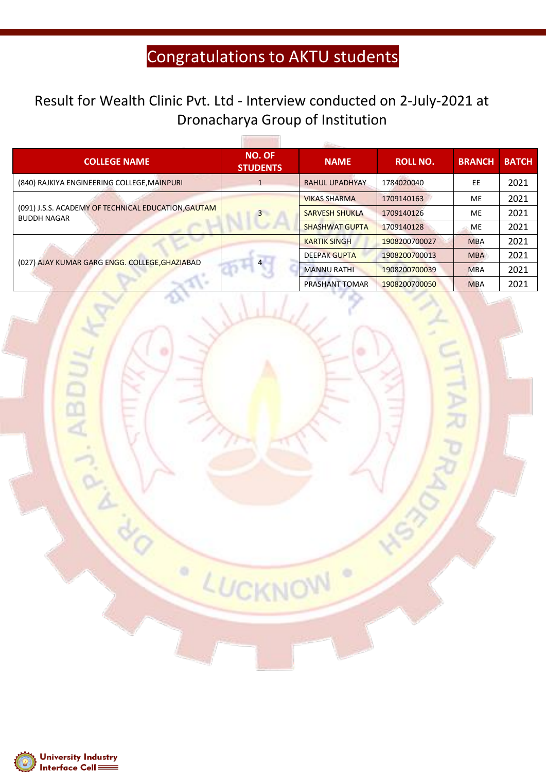#### Result for Wealth Clinic Pvt. Ltd - Interview conducted on 2-July-2021 at Dronacharya Group of Institution

56

| <b>COLLEGE NAME</b>                                                       | NO. OF<br><b>STUDENTS</b> | <b>NAME</b>           | <b>ROLL NO.</b> | <b>BRANCH</b> | <b>BATCH</b> |
|---------------------------------------------------------------------------|---------------------------|-----------------------|-----------------|---------------|--------------|
| (840) RAJKIYA ENGINEERING COLLEGE, MAINPURI                               |                           | <b>RAHUL UPADHYAY</b> | 1784020040      | EE            | 2021         |
| (091) J.S.S. ACADEMY OF TECHNICAL EDUCATION, GAUTAM<br><b>BUDDH NAGAR</b> | $\overline{3}$            | <b>VIKAS SHARMA</b>   | 1709140163      | ME            | 2021         |
|                                                                           |                           | <b>SARVESH SHUKLA</b> | 1709140126      | ME            | 2021         |
|                                                                           |                           | <b>SHASHWAT GUPTA</b> | 1709140128      | <b>ME</b>     | 2021         |
| (027) AJAY KUMAR GARG ENGG. COLLEGE, GHAZIABAD                            | $\overline{4}$            | <b>KARTIK SINGH</b>   | 1908200700027   | <b>MBA</b>    | 2021         |
|                                                                           |                           | <b>DEEPAK GUPTA</b>   | 1908200700013   | <b>MBA</b>    | 2021         |
|                                                                           |                           | <b>MANNU RATHI</b>    | 1908200700039   | <b>MBA</b>    | 2021         |
|                                                                           |                           | <b>PRASHANT TOMAR</b> | 1908200700050   | <b>MBA</b>    | 2021         |